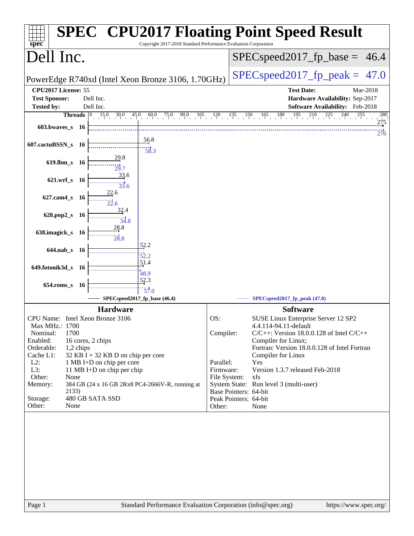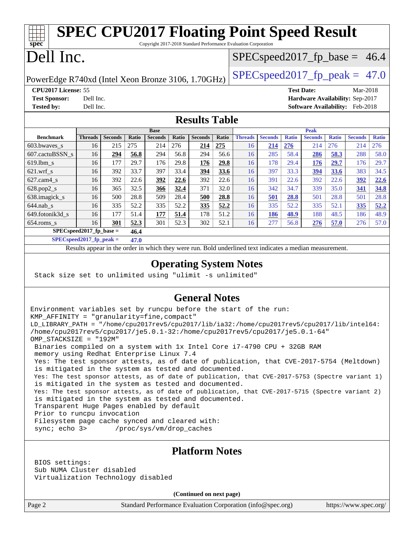| Dell Inc.<br>$SPEC speed2017_f p\_base = 46.4$<br>$SPEC speed2017_fp\_peak = 47.0$<br>PowerEdge R740xd (Intel Xeon Bronze 3106, 1.70GHz)<br>CPU2017 License: 55<br><b>Test Date:</b><br>Mar-2018<br><b>Test Sponsor:</b><br>Hardware Availability: Sep-2017<br>Dell Inc.<br><b>Tested by:</b><br>Dell Inc.<br>Software Availability: Feb-2018<br><b>Results Table</b><br><b>Peak</b><br><b>Base</b><br><b>Seconds</b><br><b>Seconds</b><br><b>Benchmark</b><br><b>Threads</b><br><b>Seconds</b><br>Ratio<br><b>Seconds</b><br>Ratio<br><b>Seconds</b><br>Ratio<br><b>Threads</b><br><b>Ratio</b><br><b>Seconds</b><br><b>Ratio</b><br><b>Ratio</b><br>276<br>215<br>275<br>275<br>276<br>214<br>276<br>214<br>276<br>603.bwaves_s<br>214<br>214<br>214<br>16<br>16<br>56.8<br>285<br>288<br>607.cactuBSSN_s<br>16<br>294<br>56.8<br>294<br>294<br>56.6<br>16<br>58.4<br>286<br>58.3<br>29.7<br>16<br>177<br>29.8<br>29.8<br>29.7<br>619.lbm_s<br>176<br><u>176</u><br>16<br>178<br>29.4<br><b>176</b><br>176<br>33.7<br>33.6<br>33.6<br>$621.wrf$ <sub>S</sub><br>16<br>392<br>397<br>33.4<br>394<br>16<br>397<br>33.3<br>394<br>383<br>22.6<br>392<br>22.6<br>392<br>22.6<br>392<br>22.6<br>391<br>22.6<br>$627$ .cam $4$ <sub>s</sub><br>16<br><u>392</u><br>16<br>392<br>32.5<br>339<br>35.0<br>16<br>365<br>371<br>32.0<br>342<br>34.7<br>628.pop2_s<br>366<br>32.4<br>16<br>341<br>28.8<br>638.imagick_s<br>500<br>28.4<br>28.8<br>16<br>509<br>500<br>28.8<br>16<br>501<br>28.8<br>501<br>501<br>335<br>$644.nab_s$<br>335<br>52.2<br>335<br>335<br>52.2<br>335<br>52.2<br>52.1<br>52.2<br>16<br>52.2<br>16<br>335<br>177<br>51.4<br>188<br>48.5<br>649.fotonik3d_s<br>177<br>51.4<br>178<br>51.2<br>186<br>48.9<br>48.9<br>16<br>16<br>186<br>16<br>301<br>52.3<br>301<br>52.3<br>302<br>52.1<br>277<br>56.8<br>276<br>57.0<br>276<br>57.0<br>$654$ .roms_s<br>16<br>$SPEC speed2017_fp\_base =$<br>46.4<br>$SPEC speed2017_fp_peak =$<br>47.0<br>Results appear in the order in which they were run. Bold underlined text indicates a median measurement.<br><b>Operating System Notes</b><br>Stack size set to unlimited using "ulimit -s unlimited"<br><b>General Notes</b><br>Environment variables set by runcpu before the start of the run:<br>KMP_AFFINITY = "granularity=fine, compact"<br>LD_LIBRARY_PATH = "/home/cpu2017rev5/cpu2017/lib/ia32:/home/cpu2017rev5/cpu2017/lib/intel64:<br>/home/cpu2017rev5/cpu2017/je5.0.1-32:/home/cpu2017rev5/cpu2017/je5.0.1-64"<br>OMP_STACKSIZE = "192M"<br>Binaries compiled on a system with 1x Intel Core i7-4790 CPU + 32GB RAM<br>memory using Redhat Enterprise Linux 7.4<br>Yes: The test sponsor attests, as of date of publication, that CVE-2017-5754 (Meltdown)<br>is mitigated in the system as tested and documented.<br>Yes: The test sponsor attests, as of date of publication, that CVE-2017-5753 (Spectre variant 1)<br>is mitigated in the system as tested and documented.<br>Yes: The test sponsor attests, as of date of publication, that CVE-2017-5715 (Spectre variant 2)<br>is mitigated in the system as tested and documented.<br>Transparent Huge Pages enabled by default<br>Prior to runcpu invocation<br>Filesystem page cache synced and cleared with:<br>sync; echo 3><br>/proc/sys/vm/drop_caches<br><b>Platform Notes</b><br>BIOS settings:<br>Sub NUMA Cluster disabled<br>Virtualization Technology disabled | <b>SPEC CPU2017 Floating Point Speed Result</b>                                      |  |  |  |  |  |  |  |  |  |  |      |
|-----------------------------------------------------------------------------------------------------------------------------------------------------------------------------------------------------------------------------------------------------------------------------------------------------------------------------------------------------------------------------------------------------------------------------------------------------------------------------------------------------------------------------------------------------------------------------------------------------------------------------------------------------------------------------------------------------------------------------------------------------------------------------------------------------------------------------------------------------------------------------------------------------------------------------------------------------------------------------------------------------------------------------------------------------------------------------------------------------------------------------------------------------------------------------------------------------------------------------------------------------------------------------------------------------------------------------------------------------------------------------------------------------------------------------------------------------------------------------------------------------------------------------------------------------------------------------------------------------------------------------------------------------------------------------------------------------------------------------------------------------------------------------------------------------------------------------------------------------------------------------------------------------------------------------------------------------------------------------------------------------------------------------------------------------------------------------------------------------------------------------------------------------------------------------------------------------------------------------------------------------------------------------------------------------------------------------------------------------------------------------------------------------------------------------------------------------------------------------------------------------------------------------------------------------------------------------------------------------------------------------------------------------------------------------------------------------------------------------------------------------------------------------------------------------------------------------------------------------------------------------------------------------------------------------------------------------------------------------------------------------------------------------------------------------------------------------------------------------------------------------------------------------------------------------------------------------------------------------------------------------------------------------------------------------------------------------------------------------------------------------------------------------------|--------------------------------------------------------------------------------------|--|--|--|--|--|--|--|--|--|--|------|
|                                                                                                                                                                                                                                                                                                                                                                                                                                                                                                                                                                                                                                                                                                                                                                                                                                                                                                                                                                                                                                                                                                                                                                                                                                                                                                                                                                                                                                                                                                                                                                                                                                                                                                                                                                                                                                                                                                                                                                                                                                                                                                                                                                                                                                                                                                                                                                                                                                                                                                                                                                                                                                                                                                                                                                                                                                                                                                                                                                                                                                                                                                                                                                                                                                                                                                                                                                                                           | Copyright 2017-2018 Standard Performance Evaluation Corporation<br>spec <sup>®</sup> |  |  |  |  |  |  |  |  |  |  |      |
|                                                                                                                                                                                                                                                                                                                                                                                                                                                                                                                                                                                                                                                                                                                                                                                                                                                                                                                                                                                                                                                                                                                                                                                                                                                                                                                                                                                                                                                                                                                                                                                                                                                                                                                                                                                                                                                                                                                                                                                                                                                                                                                                                                                                                                                                                                                                                                                                                                                                                                                                                                                                                                                                                                                                                                                                                                                                                                                                                                                                                                                                                                                                                                                                                                                                                                                                                                                                           |                                                                                      |  |  |  |  |  |  |  |  |  |  |      |
|                                                                                                                                                                                                                                                                                                                                                                                                                                                                                                                                                                                                                                                                                                                                                                                                                                                                                                                                                                                                                                                                                                                                                                                                                                                                                                                                                                                                                                                                                                                                                                                                                                                                                                                                                                                                                                                                                                                                                                                                                                                                                                                                                                                                                                                                                                                                                                                                                                                                                                                                                                                                                                                                                                                                                                                                                                                                                                                                                                                                                                                                                                                                                                                                                                                                                                                                                                                                           |                                                                                      |  |  |  |  |  |  |  |  |  |  |      |
|                                                                                                                                                                                                                                                                                                                                                                                                                                                                                                                                                                                                                                                                                                                                                                                                                                                                                                                                                                                                                                                                                                                                                                                                                                                                                                                                                                                                                                                                                                                                                                                                                                                                                                                                                                                                                                                                                                                                                                                                                                                                                                                                                                                                                                                                                                                                                                                                                                                                                                                                                                                                                                                                                                                                                                                                                                                                                                                                                                                                                                                                                                                                                                                                                                                                                                                                                                                                           |                                                                                      |  |  |  |  |  |  |  |  |  |  |      |
|                                                                                                                                                                                                                                                                                                                                                                                                                                                                                                                                                                                                                                                                                                                                                                                                                                                                                                                                                                                                                                                                                                                                                                                                                                                                                                                                                                                                                                                                                                                                                                                                                                                                                                                                                                                                                                                                                                                                                                                                                                                                                                                                                                                                                                                                                                                                                                                                                                                                                                                                                                                                                                                                                                                                                                                                                                                                                                                                                                                                                                                                                                                                                                                                                                                                                                                                                                                                           |                                                                                      |  |  |  |  |  |  |  |  |  |  |      |
|                                                                                                                                                                                                                                                                                                                                                                                                                                                                                                                                                                                                                                                                                                                                                                                                                                                                                                                                                                                                                                                                                                                                                                                                                                                                                                                                                                                                                                                                                                                                                                                                                                                                                                                                                                                                                                                                                                                                                                                                                                                                                                                                                                                                                                                                                                                                                                                                                                                                                                                                                                                                                                                                                                                                                                                                                                                                                                                                                                                                                                                                                                                                                                                                                                                                                                                                                                                                           |                                                                                      |  |  |  |  |  |  |  |  |  |  |      |
|                                                                                                                                                                                                                                                                                                                                                                                                                                                                                                                                                                                                                                                                                                                                                                                                                                                                                                                                                                                                                                                                                                                                                                                                                                                                                                                                                                                                                                                                                                                                                                                                                                                                                                                                                                                                                                                                                                                                                                                                                                                                                                                                                                                                                                                                                                                                                                                                                                                                                                                                                                                                                                                                                                                                                                                                                                                                                                                                                                                                                                                                                                                                                                                                                                                                                                                                                                                                           |                                                                                      |  |  |  |  |  |  |  |  |  |  |      |
|                                                                                                                                                                                                                                                                                                                                                                                                                                                                                                                                                                                                                                                                                                                                                                                                                                                                                                                                                                                                                                                                                                                                                                                                                                                                                                                                                                                                                                                                                                                                                                                                                                                                                                                                                                                                                                                                                                                                                                                                                                                                                                                                                                                                                                                                                                                                                                                                                                                                                                                                                                                                                                                                                                                                                                                                                                                                                                                                                                                                                                                                                                                                                                                                                                                                                                                                                                                                           |                                                                                      |  |  |  |  |  |  |  |  |  |  |      |
|                                                                                                                                                                                                                                                                                                                                                                                                                                                                                                                                                                                                                                                                                                                                                                                                                                                                                                                                                                                                                                                                                                                                                                                                                                                                                                                                                                                                                                                                                                                                                                                                                                                                                                                                                                                                                                                                                                                                                                                                                                                                                                                                                                                                                                                                                                                                                                                                                                                                                                                                                                                                                                                                                                                                                                                                                                                                                                                                                                                                                                                                                                                                                                                                                                                                                                                                                                                                           |                                                                                      |  |  |  |  |  |  |  |  |  |  | 58.0 |
|                                                                                                                                                                                                                                                                                                                                                                                                                                                                                                                                                                                                                                                                                                                                                                                                                                                                                                                                                                                                                                                                                                                                                                                                                                                                                                                                                                                                                                                                                                                                                                                                                                                                                                                                                                                                                                                                                                                                                                                                                                                                                                                                                                                                                                                                                                                                                                                                                                                                                                                                                                                                                                                                                                                                                                                                                                                                                                                                                                                                                                                                                                                                                                                                                                                                                                                                                                                                           |                                                                                      |  |  |  |  |  |  |  |  |  |  | 29.7 |
|                                                                                                                                                                                                                                                                                                                                                                                                                                                                                                                                                                                                                                                                                                                                                                                                                                                                                                                                                                                                                                                                                                                                                                                                                                                                                                                                                                                                                                                                                                                                                                                                                                                                                                                                                                                                                                                                                                                                                                                                                                                                                                                                                                                                                                                                                                                                                                                                                                                                                                                                                                                                                                                                                                                                                                                                                                                                                                                                                                                                                                                                                                                                                                                                                                                                                                                                                                                                           |                                                                                      |  |  |  |  |  |  |  |  |  |  | 34.5 |
|                                                                                                                                                                                                                                                                                                                                                                                                                                                                                                                                                                                                                                                                                                                                                                                                                                                                                                                                                                                                                                                                                                                                                                                                                                                                                                                                                                                                                                                                                                                                                                                                                                                                                                                                                                                                                                                                                                                                                                                                                                                                                                                                                                                                                                                                                                                                                                                                                                                                                                                                                                                                                                                                                                                                                                                                                                                                                                                                                                                                                                                                                                                                                                                                                                                                                                                                                                                                           |                                                                                      |  |  |  |  |  |  |  |  |  |  | 22.6 |
|                                                                                                                                                                                                                                                                                                                                                                                                                                                                                                                                                                                                                                                                                                                                                                                                                                                                                                                                                                                                                                                                                                                                                                                                                                                                                                                                                                                                                                                                                                                                                                                                                                                                                                                                                                                                                                                                                                                                                                                                                                                                                                                                                                                                                                                                                                                                                                                                                                                                                                                                                                                                                                                                                                                                                                                                                                                                                                                                                                                                                                                                                                                                                                                                                                                                                                                                                                                                           |                                                                                      |  |  |  |  |  |  |  |  |  |  | 34.8 |
|                                                                                                                                                                                                                                                                                                                                                                                                                                                                                                                                                                                                                                                                                                                                                                                                                                                                                                                                                                                                                                                                                                                                                                                                                                                                                                                                                                                                                                                                                                                                                                                                                                                                                                                                                                                                                                                                                                                                                                                                                                                                                                                                                                                                                                                                                                                                                                                                                                                                                                                                                                                                                                                                                                                                                                                                                                                                                                                                                                                                                                                                                                                                                                                                                                                                                                                                                                                                           |                                                                                      |  |  |  |  |  |  |  |  |  |  | 28.8 |
|                                                                                                                                                                                                                                                                                                                                                                                                                                                                                                                                                                                                                                                                                                                                                                                                                                                                                                                                                                                                                                                                                                                                                                                                                                                                                                                                                                                                                                                                                                                                                                                                                                                                                                                                                                                                                                                                                                                                                                                                                                                                                                                                                                                                                                                                                                                                                                                                                                                                                                                                                                                                                                                                                                                                                                                                                                                                                                                                                                                                                                                                                                                                                                                                                                                                                                                                                                                                           |                                                                                      |  |  |  |  |  |  |  |  |  |  |      |
|                                                                                                                                                                                                                                                                                                                                                                                                                                                                                                                                                                                                                                                                                                                                                                                                                                                                                                                                                                                                                                                                                                                                                                                                                                                                                                                                                                                                                                                                                                                                                                                                                                                                                                                                                                                                                                                                                                                                                                                                                                                                                                                                                                                                                                                                                                                                                                                                                                                                                                                                                                                                                                                                                                                                                                                                                                                                                                                                                                                                                                                                                                                                                                                                                                                                                                                                                                                                           |                                                                                      |  |  |  |  |  |  |  |  |  |  |      |
|                                                                                                                                                                                                                                                                                                                                                                                                                                                                                                                                                                                                                                                                                                                                                                                                                                                                                                                                                                                                                                                                                                                                                                                                                                                                                                                                                                                                                                                                                                                                                                                                                                                                                                                                                                                                                                                                                                                                                                                                                                                                                                                                                                                                                                                                                                                                                                                                                                                                                                                                                                                                                                                                                                                                                                                                                                                                                                                                                                                                                                                                                                                                                                                                                                                                                                                                                                                                           |                                                                                      |  |  |  |  |  |  |  |  |  |  |      |
|                                                                                                                                                                                                                                                                                                                                                                                                                                                                                                                                                                                                                                                                                                                                                                                                                                                                                                                                                                                                                                                                                                                                                                                                                                                                                                                                                                                                                                                                                                                                                                                                                                                                                                                                                                                                                                                                                                                                                                                                                                                                                                                                                                                                                                                                                                                                                                                                                                                                                                                                                                                                                                                                                                                                                                                                                                                                                                                                                                                                                                                                                                                                                                                                                                                                                                                                                                                                           |                                                                                      |  |  |  |  |  |  |  |  |  |  |      |
|                                                                                                                                                                                                                                                                                                                                                                                                                                                                                                                                                                                                                                                                                                                                                                                                                                                                                                                                                                                                                                                                                                                                                                                                                                                                                                                                                                                                                                                                                                                                                                                                                                                                                                                                                                                                                                                                                                                                                                                                                                                                                                                                                                                                                                                                                                                                                                                                                                                                                                                                                                                                                                                                                                                                                                                                                                                                                                                                                                                                                                                                                                                                                                                                                                                                                                                                                                                                           |                                                                                      |  |  |  |  |  |  |  |  |  |  |      |
| (Continued on next page)                                                                                                                                                                                                                                                                                                                                                                                                                                                                                                                                                                                                                                                                                                                                                                                                                                                                                                                                                                                                                                                                                                                                                                                                                                                                                                                                                                                                                                                                                                                                                                                                                                                                                                                                                                                                                                                                                                                                                                                                                                                                                                                                                                                                                                                                                                                                                                                                                                                                                                                                                                                                                                                                                                                                                                                                                                                                                                                                                                                                                                                                                                                                                                                                                                                                                                                                                                                  |                                                                                      |  |  |  |  |  |  |  |  |  |  |      |

Page 2 Standard Performance Evaluation Corporation [\(info@spec.org\)](mailto:info@spec.org) <https://www.spec.org/>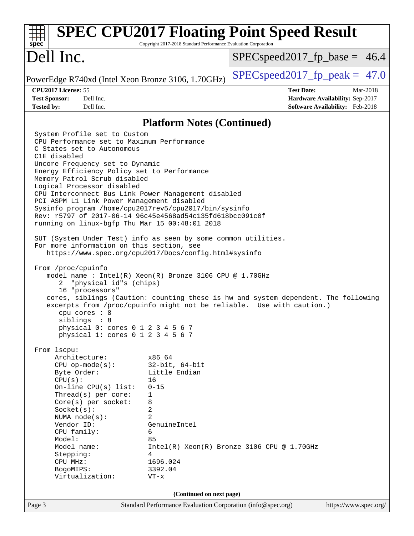| spec <sup>®</sup>                                                                                                                                                                                                                                                                                                                                                                                                                                                                                                                                                                                                                                                                                                                                   | Copyright 2017-2018 Standard Performance Evaluation Corporation                                                                                          | <b>SPEC CPU2017 Floating Point Speed Result</b>                                                                                                             |  |
|-----------------------------------------------------------------------------------------------------------------------------------------------------------------------------------------------------------------------------------------------------------------------------------------------------------------------------------------------------------------------------------------------------------------------------------------------------------------------------------------------------------------------------------------------------------------------------------------------------------------------------------------------------------------------------------------------------------------------------------------------------|----------------------------------------------------------------------------------------------------------------------------------------------------------|-------------------------------------------------------------------------------------------------------------------------------------------------------------|--|
| Dell Inc.                                                                                                                                                                                                                                                                                                                                                                                                                                                                                                                                                                                                                                                                                                                                           |                                                                                                                                                          | $SPEC speed2017_f p\_base = 46.4$                                                                                                                           |  |
| PowerEdge R740xd (Intel Xeon Bronze 3106, 1.70GHz)                                                                                                                                                                                                                                                                                                                                                                                                                                                                                                                                                                                                                                                                                                  |                                                                                                                                                          | $SPEC speed2017_fp\_peak = 47.0$                                                                                                                            |  |
| CPU2017 License: 55<br><b>Test Sponsor:</b><br>Dell Inc.<br>Dell Inc.<br><b>Tested by:</b>                                                                                                                                                                                                                                                                                                                                                                                                                                                                                                                                                                                                                                                          |                                                                                                                                                          | <b>Test Date:</b><br>Mar-2018<br>Hardware Availability: Sep-2017<br><b>Software Availability:</b> Feb-2018                                                  |  |
|                                                                                                                                                                                                                                                                                                                                                                                                                                                                                                                                                                                                                                                                                                                                                     | <b>Platform Notes (Continued)</b>                                                                                                                        |                                                                                                                                                             |  |
| System Profile set to Custom<br>CPU Performance set to Maximum Performance<br>C States set to Autonomous<br>C1E disabled<br>Uncore Frequency set to Dynamic<br>Energy Efficiency Policy set to Performance<br>Memory Patrol Scrub disabled<br>Logical Processor disabled<br>CPU Interconnect Bus Link Power Management disabled<br>PCI ASPM L1 Link Power Management disabled<br>Sysinfo program /home/cpu2017rev5/cpu2017/bin/sysinfo<br>Rev: r5797 of 2017-06-14 96c45e4568ad54c135fd618bcc091c0f<br>running on linux-bgfp Thu Mar 15 00:48:01 2018<br>SUT (System Under Test) info as seen by some common utilities.<br>For more information on this section, see<br>https://www.spec.org/cpu2017/Docs/config.html#sysinfo<br>From /proc/cpuinfo |                                                                                                                                                          |                                                                                                                                                             |  |
| model name : $Intel(R)$ Xeon(R) Bronze 3106 CPU @ 1.70GHz<br>"physical id"s (chips)<br>2<br>16 "processors"<br>cpu cores : 8<br>siblings : 8<br>physical 0: cores 0 1 2 3 4 5 6 7<br>physical 1: cores 0 1 2 3 4 5 6 7                                                                                                                                                                                                                                                                                                                                                                                                                                                                                                                              |                                                                                                                                                          | cores, siblings (Caution: counting these is hw and system dependent. The following<br>excerpts from /proc/cpuinfo might not be reliable. Use with caution.) |  |
| From 1scpu:<br>Architecture:<br>$CPU$ op-mode( $s$ ):<br>Byte Order:<br>CPU(s):<br>On-line CPU(s) list:<br>Thread(s) per core:<br>$Core(s)$ per socket:<br>Socket(s):<br>NUMA $node(s):$<br>Vendor ID:<br>CPU family:<br>Model:<br>Model name:<br>Stepping:<br>CPU MHz:<br>BogoMIPS:<br>Virtualization:                                                                                                                                                                                                                                                                                                                                                                                                                                             | x86_64<br>$32$ -bit, $64$ -bit<br>Little Endian<br>16<br>$0 - 15$<br>1<br>8<br>2<br>2<br>GenuineIntel<br>6<br>85<br>4<br>1696.024<br>3392.04<br>$VT - x$ | $Intel(R) Xeon(R) Bronze 3106 CPU @ 1.70GHz$                                                                                                                |  |
| (Continued on next page)                                                                                                                                                                                                                                                                                                                                                                                                                                                                                                                                                                                                                                                                                                                            |                                                                                                                                                          |                                                                                                                                                             |  |
| Page 3                                                                                                                                                                                                                                                                                                                                                                                                                                                                                                                                                                                                                                                                                                                                              | Standard Performance Evaluation Corporation (info@spec.org)                                                                                              | https://www.spec.org/                                                                                                                                       |  |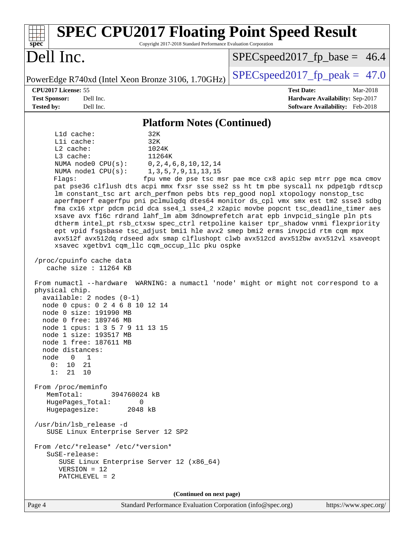| <b>SPEC CPU2017 Floating Point Speed Result</b><br>Copyright 2017-2018 Standard Performance Evaluation Corporation<br>spec <sup>®</sup>                                                                                                                                                                                                                                                                                                                                                                                                                                                                                                                                                                                                               |                                                               |  |  |  |
|-------------------------------------------------------------------------------------------------------------------------------------------------------------------------------------------------------------------------------------------------------------------------------------------------------------------------------------------------------------------------------------------------------------------------------------------------------------------------------------------------------------------------------------------------------------------------------------------------------------------------------------------------------------------------------------------------------------------------------------------------------|---------------------------------------------------------------|--|--|--|
| Dell Inc.                                                                                                                                                                                                                                                                                                                                                                                                                                                                                                                                                                                                                                                                                                                                             | $SPEC speed2017_f p\_base = 46.4$                             |  |  |  |
| PowerEdge R740xd (Intel Xeon Bronze 3106, 1.70GHz)                                                                                                                                                                                                                                                                                                                                                                                                                                                                                                                                                                                                                                                                                                    | $SPEC speed2017_fp\_peak = 47.0$                              |  |  |  |
| CPU2017 License: 55                                                                                                                                                                                                                                                                                                                                                                                                                                                                                                                                                                                                                                                                                                                                   | <b>Test Date:</b><br>Mar-2018                                 |  |  |  |
| <b>Test Sponsor:</b><br>Dell Inc.                                                                                                                                                                                                                                                                                                                                                                                                                                                                                                                                                                                                                                                                                                                     | Hardware Availability: Sep-2017                               |  |  |  |
| <b>Tested by:</b><br>Dell Inc.                                                                                                                                                                                                                                                                                                                                                                                                                                                                                                                                                                                                                                                                                                                        | Software Availability: Feb-2018                               |  |  |  |
| <b>Platform Notes (Continued)</b>                                                                                                                                                                                                                                                                                                                                                                                                                                                                                                                                                                                                                                                                                                                     |                                                               |  |  |  |
| L1d cache:<br>32K                                                                                                                                                                                                                                                                                                                                                                                                                                                                                                                                                                                                                                                                                                                                     |                                                               |  |  |  |
| Lli cache:<br>32K                                                                                                                                                                                                                                                                                                                                                                                                                                                                                                                                                                                                                                                                                                                                     |                                                               |  |  |  |
| L2 cache:<br>1024K                                                                                                                                                                                                                                                                                                                                                                                                                                                                                                                                                                                                                                                                                                                                    |                                                               |  |  |  |
| L3 cache:<br>11264K<br>NUMA $node0$ $CPU(s)$ :<br>0, 2, 4, 6, 8, 10, 12, 14                                                                                                                                                                                                                                                                                                                                                                                                                                                                                                                                                                                                                                                                           |                                                               |  |  |  |
| NUMA nodel CPU(s):<br>1, 3, 5, 7, 9, 11, 13, 15                                                                                                                                                                                                                                                                                                                                                                                                                                                                                                                                                                                                                                                                                                       |                                                               |  |  |  |
| Flagg:                                                                                                                                                                                                                                                                                                                                                                                                                                                                                                                                                                                                                                                                                                                                                | fpu vme de pse tsc msr pae mce cx8 apic sep mtrr pge mca cmov |  |  |  |
| pat pse36 clflush dts acpi mmx fxsr sse sse2 ss ht tm pbe syscall nx pdpelgb rdtscp<br>lm constant_tsc art arch_perfmon pebs bts rep_good nopl xtopology nonstop_tsc<br>aperfmperf eagerfpu pni pclmulqdq dtes64 monitor ds_cpl vmx smx est tm2 ssse3 sdbg<br>fma cx16 xtpr pdcm pcid dca sse4_1 sse4_2 x2apic movbe popcnt tsc_deadline_timer aes<br>xsave avx f16c rdrand lahf_lm abm 3dnowprefetch arat epb invpcid_single pln pts<br>dtherm intel_pt rsb_ctxsw spec_ctrl retpoline kaiser tpr_shadow vnmi flexpriority<br>ept vpid fsgsbase tsc_adjust bmil hle avx2 smep bmi2 erms invpcid rtm cqm mpx<br>avx512f avx512dq rdseed adx smap clflushopt clwb avx512cd avx512bw avx512vl xsaveopt<br>xsavec xgetbvl cqm_llc cqm_occup_llc pku ospke |                                                               |  |  |  |
| /proc/cpuinfo cache data<br>cache size : 11264 KB                                                                                                                                                                                                                                                                                                                                                                                                                                                                                                                                                                                                                                                                                                     |                                                               |  |  |  |
| From numactl --hardware WARNING: a numactl 'node' might or might not correspond to a<br>physical chip.<br>$available: 2 nodes (0-1)$<br>node 0 cpus: 0 2 4 6 8 10 12 14<br>node 0 size: 191990 MB                                                                                                                                                                                                                                                                                                                                                                                                                                                                                                                                                     |                                                               |  |  |  |
| node 0 free: 189746 MB                                                                                                                                                                                                                                                                                                                                                                                                                                                                                                                                                                                                                                                                                                                                |                                                               |  |  |  |
| node 1 cpus: 1 3 5 7 9 11 13 15<br>node 1 size: 193517 MB<br>node 1 free: 187611 MB                                                                                                                                                                                                                                                                                                                                                                                                                                                                                                                                                                                                                                                                   |                                                               |  |  |  |
| node distances:                                                                                                                                                                                                                                                                                                                                                                                                                                                                                                                                                                                                                                                                                                                                       |                                                               |  |  |  |
| node<br>$\overline{0}$<br>1<br>0: 10<br>21                                                                                                                                                                                                                                                                                                                                                                                                                                                                                                                                                                                                                                                                                                            |                                                               |  |  |  |
| 1: 21 10                                                                                                                                                                                                                                                                                                                                                                                                                                                                                                                                                                                                                                                                                                                                              |                                                               |  |  |  |
| From /proc/meminfo<br>MemTotal:<br>394760024 kB<br>HugePages_Total:<br>0<br>Hugepagesize:<br>2048 kB                                                                                                                                                                                                                                                                                                                                                                                                                                                                                                                                                                                                                                                  |                                                               |  |  |  |
| /usr/bin/lsb_release -d<br>SUSE Linux Enterprise Server 12 SP2                                                                                                                                                                                                                                                                                                                                                                                                                                                                                                                                                                                                                                                                                        |                                                               |  |  |  |
| From /etc/*release* /etc/*version*<br>SuSE-release:<br>SUSE Linux Enterprise Server 12 (x86_64)                                                                                                                                                                                                                                                                                                                                                                                                                                                                                                                                                                                                                                                       |                                                               |  |  |  |
| $VERSION = 12$<br>PATCHLEVEL = 2                                                                                                                                                                                                                                                                                                                                                                                                                                                                                                                                                                                                                                                                                                                      |                                                               |  |  |  |
| (Continued on next page)                                                                                                                                                                                                                                                                                                                                                                                                                                                                                                                                                                                                                                                                                                                              |                                                               |  |  |  |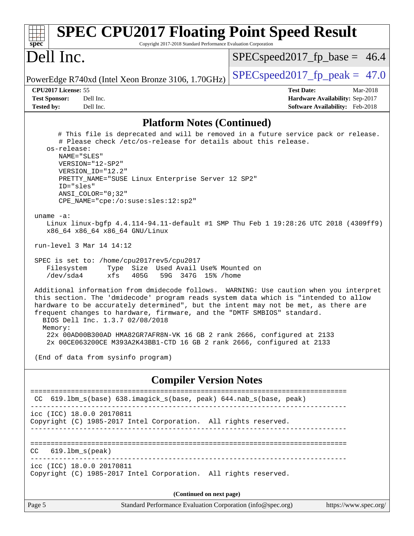| <b>SPEC CPU2017 Floating Point Speed Result</b><br>Copyright 2017-2018 Standard Performance Evaluation Corporation<br>spec <sup>®</sup>                                                                                                                                                                                                                                                                                                                                                                                                                                                                                                                                                                                                                                                                                                                                                                                                                                                                                                                                                                                                                                                                                                                                              |                                                                                                     |  |  |  |
|--------------------------------------------------------------------------------------------------------------------------------------------------------------------------------------------------------------------------------------------------------------------------------------------------------------------------------------------------------------------------------------------------------------------------------------------------------------------------------------------------------------------------------------------------------------------------------------------------------------------------------------------------------------------------------------------------------------------------------------------------------------------------------------------------------------------------------------------------------------------------------------------------------------------------------------------------------------------------------------------------------------------------------------------------------------------------------------------------------------------------------------------------------------------------------------------------------------------------------------------------------------------------------------|-----------------------------------------------------------------------------------------------------|--|--|--|
| Dell Inc.                                                                                                                                                                                                                                                                                                                                                                                                                                                                                                                                                                                                                                                                                                                                                                                                                                                                                                                                                                                                                                                                                                                                                                                                                                                                            | $SPEC speed2017_f p\_base = 46.4$                                                                   |  |  |  |
| PowerEdge R740xd (Intel Xeon Bronze 3106, 1.70GHz)                                                                                                                                                                                                                                                                                                                                                                                                                                                                                                                                                                                                                                                                                                                                                                                                                                                                                                                                                                                                                                                                                                                                                                                                                                   | $SPEC speed2017_fp_peak = 47.0$                                                                     |  |  |  |
| CPU2017 License: 55<br><b>Test Sponsor:</b><br>Dell Inc.<br><b>Tested by:</b><br>Dell Inc.                                                                                                                                                                                                                                                                                                                                                                                                                                                                                                                                                                                                                                                                                                                                                                                                                                                                                                                                                                                                                                                                                                                                                                                           | <b>Test Date:</b><br>Mar-2018<br>Hardware Availability: Sep-2017<br>Software Availability: Feb-2018 |  |  |  |
|                                                                                                                                                                                                                                                                                                                                                                                                                                                                                                                                                                                                                                                                                                                                                                                                                                                                                                                                                                                                                                                                                                                                                                                                                                                                                      |                                                                                                     |  |  |  |
| <b>Platform Notes (Continued)</b><br># This file is deprecated and will be removed in a future service pack or release.<br># Please check /etc/os-release for details about this release.<br>os-release:<br>NAME="SLES"<br>VERSION="12-SP2"<br>VERSION ID="12.2"<br>PRETTY_NAME="SUSE Linux Enterprise Server 12 SP2"<br>ID="sles"<br>$ANSI$ _COLOR=" $0:32$ "<br>CPE NAME="cpe:/o:suse:sles:12:sp2"<br>uname $-a$ :<br>Linux linux-bgfp 4.4.114-94.11-default #1 SMP Thu Feb 1 19:28:26 UTC 2018 (4309ff9)<br>x86_64 x86_64 x86_64 GNU/Linux<br>run-level 3 Mar 14 14:12<br>SPEC is set to: /home/cpu2017rev5/cpu2017<br>Type Size Used Avail Use% Mounted on<br>Filesystem<br>/dev/sda4<br>xfs<br>405G<br>59G 347G 15% / home<br>Additional information from dmidecode follows. WARNING: Use caution when you interpret<br>this section. The 'dmidecode' program reads system data which is "intended to allow<br>hardware to be accurately determined", but the intent may not be met, as there are<br>frequent changes to hardware, firmware, and the "DMTF SMBIOS" standard.<br>BIOS Dell Inc. 1.3.7 02/08/2018<br>Memory:<br>22x 00AD00B300AD HMA82GR7AFR8N-VK 16 GB 2 rank 2666, configured at 2133<br>2x 00CE063200CE M393A2K43BB1-CTD 16 GB 2 rank 2666, configured at 2133 |                                                                                                     |  |  |  |
| <b>Compiler Version Notes</b>                                                                                                                                                                                                                                                                                                                                                                                                                                                                                                                                                                                                                                                                                                                                                                                                                                                                                                                                                                                                                                                                                                                                                                                                                                                        |                                                                                                     |  |  |  |
| 619.1bm_s(base) 638.imagick_s(base, peak) 644.nab_s(base, peak)<br>CC.                                                                                                                                                                                                                                                                                                                                                                                                                                                                                                                                                                                                                                                                                                                                                                                                                                                                                                                                                                                                                                                                                                                                                                                                               |                                                                                                     |  |  |  |
| icc (ICC) 18.0.0 20170811<br>Copyright (C) 1985-2017 Intel Corporation. All rights reserved.                                                                                                                                                                                                                                                                                                                                                                                                                                                                                                                                                                                                                                                                                                                                                                                                                                                                                                                                                                                                                                                                                                                                                                                         |                                                                                                     |  |  |  |
| $619.1$ bm_s(peak)<br>CC                                                                                                                                                                                                                                                                                                                                                                                                                                                                                                                                                                                                                                                                                                                                                                                                                                                                                                                                                                                                                                                                                                                                                                                                                                                             |                                                                                                     |  |  |  |
| icc (ICC) 18.0.0 20170811<br>Copyright (C) 1985-2017 Intel Corporation. All rights reserved.                                                                                                                                                                                                                                                                                                                                                                                                                                                                                                                                                                                                                                                                                                                                                                                                                                                                                                                                                                                                                                                                                                                                                                                         |                                                                                                     |  |  |  |
| (Continued on next page)                                                                                                                                                                                                                                                                                                                                                                                                                                                                                                                                                                                                                                                                                                                                                                                                                                                                                                                                                                                                                                                                                                                                                                                                                                                             |                                                                                                     |  |  |  |
| Page 5<br>Standard Performance Evaluation Corporation (info@spec.org)                                                                                                                                                                                                                                                                                                                                                                                                                                                                                                                                                                                                                                                                                                                                                                                                                                                                                                                                                                                                                                                                                                                                                                                                                | https://www.spec.org/                                                                               |  |  |  |
|                                                                                                                                                                                                                                                                                                                                                                                                                                                                                                                                                                                                                                                                                                                                                                                                                                                                                                                                                                                                                                                                                                                                                                                                                                                                                      |                                                                                                     |  |  |  |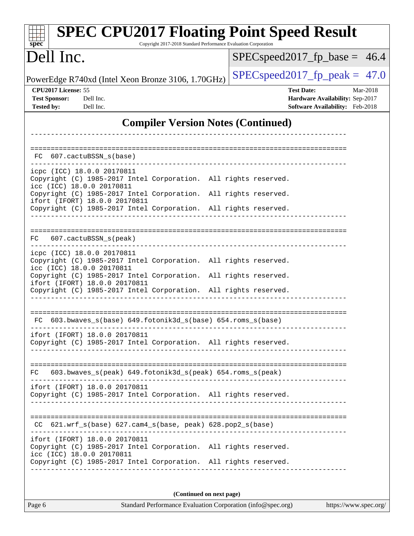| <b>SPEC CPU2017 Floating Point Speed Result</b><br>Copyright 2017-2018 Standard Performance Evaluation Corporation<br>spec <sup>®</sup>                                                          |                                                                                                     |  |  |  |  |
|--------------------------------------------------------------------------------------------------------------------------------------------------------------------------------------------------|-----------------------------------------------------------------------------------------------------|--|--|--|--|
| Dell Inc.                                                                                                                                                                                        | $SPEC speed2017_fp\_base = 46.4$                                                                    |  |  |  |  |
| PowerEdge R740xd (Intel Xeon Bronze 3106, 1.70GHz)                                                                                                                                               | $SPEC speed2017fp peak = 47.0$                                                                      |  |  |  |  |
| CPU2017 License: 55<br><b>Test Sponsor:</b><br>Dell Inc.<br><b>Tested by:</b><br>Dell Inc.                                                                                                       | <b>Test Date:</b><br>Mar-2018<br>Hardware Availability: Sep-2017<br>Software Availability: Feb-2018 |  |  |  |  |
| <b>Compiler Version Notes (Continued)</b>                                                                                                                                                        |                                                                                                     |  |  |  |  |
|                                                                                                                                                                                                  |                                                                                                     |  |  |  |  |
| FC 607.cactuBSSN s(base)                                                                                                                                                                         |                                                                                                     |  |  |  |  |
| icpc (ICC) 18.0.0 20170811<br>Copyright (C) 1985-2017 Intel Corporation. All rights reserved.<br>icc (ICC) 18.0.0 20170811                                                                       |                                                                                                     |  |  |  |  |
| Copyright (C) 1985-2017 Intel Corporation. All rights reserved.<br>ifort (IFORT) 18.0.0 20170811<br>Copyright (C) 1985-2017 Intel Corporation. All rights reserved.                              |                                                                                                     |  |  |  |  |
| 607.cactuBSSN_s(peak)<br>FC.                                                                                                                                                                     |                                                                                                     |  |  |  |  |
| icpc (ICC) 18.0.0 20170811<br>Copyright (C) 1985-2017 Intel Corporation. All rights reserved.<br>icc (ICC) 18.0.0 20170811<br>Copyright (C) 1985-2017 Intel Corporation. All rights reserved.    |                                                                                                     |  |  |  |  |
| ifort (IFORT) 18.0.0 20170811<br>Copyright (C) 1985-2017 Intel Corporation. All rights reserved.                                                                                                 |                                                                                                     |  |  |  |  |
| 603.bwaves_s(base) 649.fotonik3d_s(base) 654.roms_s(base)<br>FC.                                                                                                                                 |                                                                                                     |  |  |  |  |
| ifort (IFORT) 18.0.0 20170811<br>Copyright (C) 1985-2017 Intel Corporation. All rights reserved.                                                                                                 |                                                                                                     |  |  |  |  |
| 603.bwaves_s(peak) 649.fotonik3d_s(peak) 654.roms_s(peak)<br>FC.                                                                                                                                 |                                                                                                     |  |  |  |  |
| ifort (IFORT) 18.0.0 20170811<br>Copyright (C) 1985-2017 Intel Corporation. All rights reserved.                                                                                                 |                                                                                                     |  |  |  |  |
| CC 621.wrf_s(base) 627.cam4_s(base, peak) 628.pop2_s(base)                                                                                                                                       |                                                                                                     |  |  |  |  |
| ifort (IFORT) 18.0.0 20170811<br>Copyright (C) 1985-2017 Intel Corporation. All rights reserved.<br>icc (ICC) 18.0.0 20170811<br>Copyright (C) 1985-2017 Intel Corporation. All rights reserved. |                                                                                                     |  |  |  |  |
| (Continued on next page)                                                                                                                                                                         |                                                                                                     |  |  |  |  |
| Page 6<br>Standard Performance Evaluation Corporation (info@spec.org)<br>https://www.spec.org/                                                                                                   |                                                                                                     |  |  |  |  |

| ◡ | age |  |
|---|-----|--|
|   |     |  |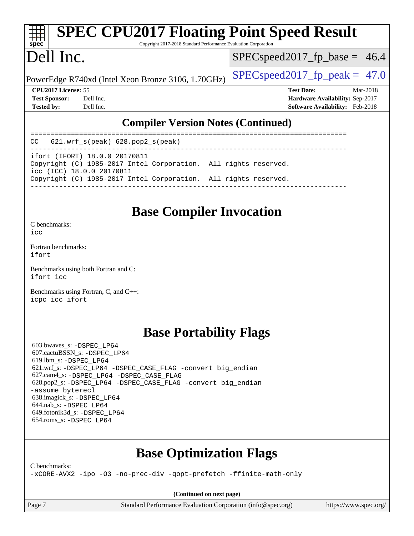# **[SPEC CPU2017 Floating Point Speed Result](http://www.spec.org/auto/cpu2017/Docs/result-fields.html#SPECCPU2017FloatingPointSpeedResult)**

Copyright 2017-2018 Standard Performance Evaluation Corporation

## Dell Inc.

**[spec](http://www.spec.org/)**

 $SPECspeed2017<sub>fp</sub> base = 46.4$ 

PowerEdge R740xd (Intel Xeon Bronze 3106, 1.70GHz)  $\left|$  [SPECspeed2017\\_fp\\_peak =](http://www.spec.org/auto/cpu2017/Docs/result-fields.html#SPECspeed2017fppeak) 47.0

**[CPU2017 License:](http://www.spec.org/auto/cpu2017/Docs/result-fields.html#CPU2017License)** 55 **[Test Date:](http://www.spec.org/auto/cpu2017/Docs/result-fields.html#TestDate)** Mar-2018 **[Test Sponsor:](http://www.spec.org/auto/cpu2017/Docs/result-fields.html#TestSponsor)** Dell Inc. **[Hardware Availability:](http://www.spec.org/auto/cpu2017/Docs/result-fields.html#HardwareAvailability)** Sep-2017 **[Tested by:](http://www.spec.org/auto/cpu2017/Docs/result-fields.html#Testedby)** Dell Inc. **[Software Availability:](http://www.spec.org/auto/cpu2017/Docs/result-fields.html#SoftwareAvailability)** Feb-2018

#### **[Compiler Version Notes \(Continued\)](http://www.spec.org/auto/cpu2017/Docs/result-fields.html#CompilerVersionNotes)**

============================================================================== CC 621.wrf\_s(peak) 628.pop2\_s(peak) ----------------------------------------------------------------------------- ifort (IFORT) 18.0.0 20170811 Copyright (C) 1985-2017 Intel Corporation. All rights reserved. icc (ICC) 18.0.0 20170811 Copyright (C) 1985-2017 Intel Corporation. All rights reserved. ------------------------------------------------------------------------------

#### **[Base Compiler Invocation](http://www.spec.org/auto/cpu2017/Docs/result-fields.html#BaseCompilerInvocation)**

[C benchmarks](http://www.spec.org/auto/cpu2017/Docs/result-fields.html#Cbenchmarks):  $i$ cc

[Fortran benchmarks](http://www.spec.org/auto/cpu2017/Docs/result-fields.html#Fortranbenchmarks): [ifort](http://www.spec.org/cpu2017/results/res2018q2/cpu2017-20180416-04991.flags.html#user_FCbase_intel_ifort_18.0_8111460550e3ca792625aed983ce982f94888b8b503583aa7ba2b8303487b4d8a21a13e7191a45c5fd58ff318f48f9492884d4413fa793fd88dd292cad7027ca)

[Benchmarks using both Fortran and C](http://www.spec.org/auto/cpu2017/Docs/result-fields.html#BenchmarksusingbothFortranandC): [ifort](http://www.spec.org/cpu2017/results/res2018q2/cpu2017-20180416-04991.flags.html#user_CC_FCbase_intel_ifort_18.0_8111460550e3ca792625aed983ce982f94888b8b503583aa7ba2b8303487b4d8a21a13e7191a45c5fd58ff318f48f9492884d4413fa793fd88dd292cad7027ca) [icc](http://www.spec.org/cpu2017/results/res2018q2/cpu2017-20180416-04991.flags.html#user_CC_FCbase_intel_icc_18.0_66fc1ee009f7361af1fbd72ca7dcefbb700085f36577c54f309893dd4ec40d12360134090235512931783d35fd58c0460139e722d5067c5574d8eaf2b3e37e92)

[Benchmarks using Fortran, C, and C++:](http://www.spec.org/auto/cpu2017/Docs/result-fields.html#BenchmarksusingFortranCandCXX) [icpc](http://www.spec.org/cpu2017/results/res2018q2/cpu2017-20180416-04991.flags.html#user_CC_CXX_FCbase_intel_icpc_18.0_c510b6838c7f56d33e37e94d029a35b4a7bccf4766a728ee175e80a419847e808290a9b78be685c44ab727ea267ec2f070ec5dc83b407c0218cded6866a35d07) [icc](http://www.spec.org/cpu2017/results/res2018q2/cpu2017-20180416-04991.flags.html#user_CC_CXX_FCbase_intel_icc_18.0_66fc1ee009f7361af1fbd72ca7dcefbb700085f36577c54f309893dd4ec40d12360134090235512931783d35fd58c0460139e722d5067c5574d8eaf2b3e37e92) [ifort](http://www.spec.org/cpu2017/results/res2018q2/cpu2017-20180416-04991.flags.html#user_CC_CXX_FCbase_intel_ifort_18.0_8111460550e3ca792625aed983ce982f94888b8b503583aa7ba2b8303487b4d8a21a13e7191a45c5fd58ff318f48f9492884d4413fa793fd88dd292cad7027ca)

#### **[Base Portability Flags](http://www.spec.org/auto/cpu2017/Docs/result-fields.html#BasePortabilityFlags)**

 603.bwaves\_s: [-DSPEC\\_LP64](http://www.spec.org/cpu2017/results/res2018q2/cpu2017-20180416-04991.flags.html#suite_basePORTABILITY603_bwaves_s_DSPEC_LP64) 607.cactuBSSN\_s: [-DSPEC\\_LP64](http://www.spec.org/cpu2017/results/res2018q2/cpu2017-20180416-04991.flags.html#suite_basePORTABILITY607_cactuBSSN_s_DSPEC_LP64) 619.lbm\_s: [-DSPEC\\_LP64](http://www.spec.org/cpu2017/results/res2018q2/cpu2017-20180416-04991.flags.html#suite_basePORTABILITY619_lbm_s_DSPEC_LP64) 621.wrf\_s: [-DSPEC\\_LP64](http://www.spec.org/cpu2017/results/res2018q2/cpu2017-20180416-04991.flags.html#suite_basePORTABILITY621_wrf_s_DSPEC_LP64) [-DSPEC\\_CASE\\_FLAG](http://www.spec.org/cpu2017/results/res2018q2/cpu2017-20180416-04991.flags.html#b621.wrf_s_baseCPORTABILITY_DSPEC_CASE_FLAG) [-convert big\\_endian](http://www.spec.org/cpu2017/results/res2018q2/cpu2017-20180416-04991.flags.html#user_baseFPORTABILITY621_wrf_s_convert_big_endian_c3194028bc08c63ac5d04de18c48ce6d347e4e562e8892b8bdbdc0214820426deb8554edfa529a3fb25a586e65a3d812c835984020483e7e73212c4d31a38223) 627.cam4\_s: [-DSPEC\\_LP64](http://www.spec.org/cpu2017/results/res2018q2/cpu2017-20180416-04991.flags.html#suite_basePORTABILITY627_cam4_s_DSPEC_LP64) [-DSPEC\\_CASE\\_FLAG](http://www.spec.org/cpu2017/results/res2018q2/cpu2017-20180416-04991.flags.html#b627.cam4_s_baseCPORTABILITY_DSPEC_CASE_FLAG) 628.pop2\_s: [-DSPEC\\_LP64](http://www.spec.org/cpu2017/results/res2018q2/cpu2017-20180416-04991.flags.html#suite_basePORTABILITY628_pop2_s_DSPEC_LP64) [-DSPEC\\_CASE\\_FLAG](http://www.spec.org/cpu2017/results/res2018q2/cpu2017-20180416-04991.flags.html#b628.pop2_s_baseCPORTABILITY_DSPEC_CASE_FLAG) [-convert big\\_endian](http://www.spec.org/cpu2017/results/res2018q2/cpu2017-20180416-04991.flags.html#user_baseFPORTABILITY628_pop2_s_convert_big_endian_c3194028bc08c63ac5d04de18c48ce6d347e4e562e8892b8bdbdc0214820426deb8554edfa529a3fb25a586e65a3d812c835984020483e7e73212c4d31a38223) [-assume byterecl](http://www.spec.org/cpu2017/results/res2018q2/cpu2017-20180416-04991.flags.html#user_baseFPORTABILITY628_pop2_s_assume_byterecl_7e47d18b9513cf18525430bbf0f2177aa9bf368bc7a059c09b2c06a34b53bd3447c950d3f8d6c70e3faf3a05c8557d66a5798b567902e8849adc142926523472) 638.imagick\_s: [-DSPEC\\_LP64](http://www.spec.org/cpu2017/results/res2018q2/cpu2017-20180416-04991.flags.html#suite_basePORTABILITY638_imagick_s_DSPEC_LP64) 644.nab\_s: [-DSPEC\\_LP64](http://www.spec.org/cpu2017/results/res2018q2/cpu2017-20180416-04991.flags.html#suite_basePORTABILITY644_nab_s_DSPEC_LP64) 649.fotonik3d\_s: [-DSPEC\\_LP64](http://www.spec.org/cpu2017/results/res2018q2/cpu2017-20180416-04991.flags.html#suite_basePORTABILITY649_fotonik3d_s_DSPEC_LP64) 654.roms\_s: [-DSPEC\\_LP64](http://www.spec.org/cpu2017/results/res2018q2/cpu2017-20180416-04991.flags.html#suite_basePORTABILITY654_roms_s_DSPEC_LP64)

#### **[Base Optimization Flags](http://www.spec.org/auto/cpu2017/Docs/result-fields.html#BaseOptimizationFlags)**

[C benchmarks](http://www.spec.org/auto/cpu2017/Docs/result-fields.html#Cbenchmarks):

[-xCORE-AVX2](http://www.spec.org/cpu2017/results/res2018q2/cpu2017-20180416-04991.flags.html#user_CCbase_f-xCORE-AVX2) [-ipo](http://www.spec.org/cpu2017/results/res2018q2/cpu2017-20180416-04991.flags.html#user_CCbase_f-ipo) [-O3](http://www.spec.org/cpu2017/results/res2018q2/cpu2017-20180416-04991.flags.html#user_CCbase_f-O3) [-no-prec-div](http://www.spec.org/cpu2017/results/res2018q2/cpu2017-20180416-04991.flags.html#user_CCbase_f-no-prec-div) [-qopt-prefetch](http://www.spec.org/cpu2017/results/res2018q2/cpu2017-20180416-04991.flags.html#user_CCbase_f-qopt-prefetch) [-ffinite-math-only](http://www.spec.org/cpu2017/results/res2018q2/cpu2017-20180416-04991.flags.html#user_CCbase_f_finite_math_only_cb91587bd2077682c4b38af759c288ed7c732db004271a9512da14a4f8007909a5f1427ecbf1a0fb78ff2a814402c6114ac565ca162485bbcae155b5e4258871)

**(Continued on next page)**

Page 7 Standard Performance Evaluation Corporation [\(info@spec.org\)](mailto:info@spec.org) <https://www.spec.org/>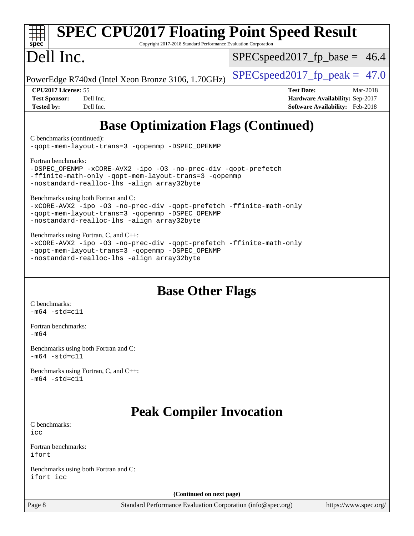| <b>SPEC CPU2017 Floating Point Speed Result</b>                                                    |                                        |
|----------------------------------------------------------------------------------------------------|----------------------------------------|
| spec <sup>®</sup><br>Copyright 2017-2018 Standard Performance Evaluation Corporation<br>Dell Inc.  | $SPEC speed2017_fp\_base = 46.4$       |
| PowerEdge R740xd (Intel Xeon Bronze 3106, 1.70GHz)                                                 | $SPEC speed2017fp peak = 47.0$         |
| CPU <sub>2017</sub> License: 55                                                                    | <b>Test Date:</b><br>Mar-2018          |
| <b>Test Sponsor:</b><br>Dell Inc.                                                                  | Hardware Availability: Sep-2017        |
| <b>Tested by:</b><br>Dell Inc.                                                                     | <b>Software Availability:</b> Feb-2018 |
| <b>Base Optimization Flags (Continued)</b>                                                         |                                        |
|                                                                                                    |                                        |
| C benchmarks (continued):<br>-qopt-mem-layout-trans=3 -qopenmp -DSPEC_OPENMP                       |                                        |
| Fortran benchmarks:                                                                                |                                        |
| -DSPEC_OPENMP -xCORE-AVX2 -ipo -03 -no-prec-div -qopt-prefetch                                     |                                        |
| -ffinite-math-only -qopt-mem-layout-trans=3 -qopenmp<br>-nostandard-realloc-lhs -align array32byte |                                        |
| Benchmarks using both Fortran and C:                                                               |                                        |
| -xCORE-AVX2 -ipo -03 -no-prec-div -qopt-prefetch -ffinite-math-only                                |                                        |
| -qopt-mem-layout-trans=3 -qopenmp -DSPEC_OPENMP<br>-nostandard-realloc-lhs -align array32byte      |                                        |
| Benchmarks using Fortran, C, and C++:                                                              |                                        |
| -xCORE-AVX2 -ipo -03 -no-prec-div -qopt-prefetch -ffinite-math-only                                |                                        |
| -qopt-mem-layout-trans=3 -qopenmp -DSPEC_OPENMP<br>-nostandard-realloc-lhs -align array32byte      |                                        |
|                                                                                                    |                                        |
|                                                                                                    |                                        |
| <b>Base Other Flags</b>                                                                            |                                        |
| C benchmarks:                                                                                      |                                        |
| $-m64 - std = c11$                                                                                 |                                        |
| Fortran benchmarks:                                                                                |                                        |
| $-m64$                                                                                             |                                        |
| Benchmarks using both Fortran and C:                                                               |                                        |
| $-m64 - std= c11$                                                                                  |                                        |
| Benchmarks using Fortran, C, and C++:                                                              |                                        |
| $-m64 - std= c11$                                                                                  |                                        |
|                                                                                                    |                                        |
| <b>Peak Compiler Invocation</b>                                                                    |                                        |
| C benchmarks:                                                                                      |                                        |
| icc                                                                                                |                                        |
| Fortran benchmarks:                                                                                |                                        |
| ifort                                                                                              |                                        |
| Benchmarks using both Fortran and C:<br>ifort icc                                                  |                                        |
| (Continued on next page)                                                                           |                                        |
| Standard Performance Evaluation Corporation (info@spec.org)<br>Page 8                              | https://www.spec.org/                  |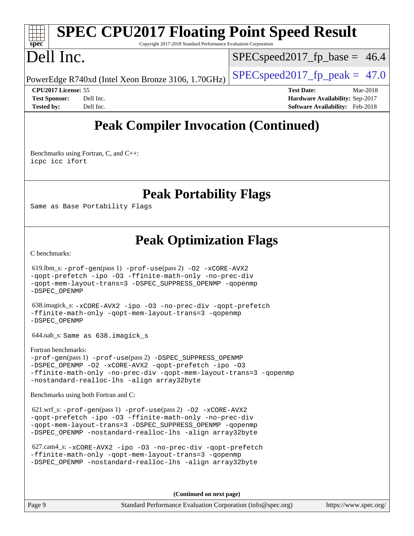#### **[spec](http://www.spec.org/) [SPEC CPU2017 Floating Point Speed Result](http://www.spec.org/auto/cpu2017/Docs/result-fields.html#SPECCPU2017FloatingPointSpeedResult)** Copyright 2017-2018 Standard Performance Evaluation Corporation Dell Inc.  $SPECspeed2017<sub>fp</sub> base = 46.4$

PowerEdge R740xd (Intel Xeon Bronze 3106, 1.70GHz)  $\left|$  [SPECspeed2017\\_fp\\_peak =](http://www.spec.org/auto/cpu2017/Docs/result-fields.html#SPECspeed2017fppeak) 47.0

**[CPU2017 License:](http://www.spec.org/auto/cpu2017/Docs/result-fields.html#CPU2017License)** 55 **[Test Date:](http://www.spec.org/auto/cpu2017/Docs/result-fields.html#TestDate)** Mar-2018 **[Test Sponsor:](http://www.spec.org/auto/cpu2017/Docs/result-fields.html#TestSponsor)** Dell Inc. **[Hardware Availability:](http://www.spec.org/auto/cpu2017/Docs/result-fields.html#HardwareAvailability)** Sep-2017 **[Tested by:](http://www.spec.org/auto/cpu2017/Docs/result-fields.html#Testedby)** Dell Inc. **[Software Availability:](http://www.spec.org/auto/cpu2017/Docs/result-fields.html#SoftwareAvailability)** Feb-2018

### **[Peak Compiler Invocation \(Continued\)](http://www.spec.org/auto/cpu2017/Docs/result-fields.html#PeakCompilerInvocation)**

[Benchmarks using Fortran, C, and C++:](http://www.spec.org/auto/cpu2017/Docs/result-fields.html#BenchmarksusingFortranCandCXX) [icpc](http://www.spec.org/cpu2017/results/res2018q2/cpu2017-20180416-04991.flags.html#user_CC_CXX_FCpeak_intel_icpc_18.0_c510b6838c7f56d33e37e94d029a35b4a7bccf4766a728ee175e80a419847e808290a9b78be685c44ab727ea267ec2f070ec5dc83b407c0218cded6866a35d07) [icc](http://www.spec.org/cpu2017/results/res2018q2/cpu2017-20180416-04991.flags.html#user_CC_CXX_FCpeak_intel_icc_18.0_66fc1ee009f7361af1fbd72ca7dcefbb700085f36577c54f309893dd4ec40d12360134090235512931783d35fd58c0460139e722d5067c5574d8eaf2b3e37e92) [ifort](http://www.spec.org/cpu2017/results/res2018q2/cpu2017-20180416-04991.flags.html#user_CC_CXX_FCpeak_intel_ifort_18.0_8111460550e3ca792625aed983ce982f94888b8b503583aa7ba2b8303487b4d8a21a13e7191a45c5fd58ff318f48f9492884d4413fa793fd88dd292cad7027ca)

**[Peak Portability Flags](http://www.spec.org/auto/cpu2017/Docs/result-fields.html#PeakPortabilityFlags)**

Same as Base Portability Flags

#### **[Peak Optimization Flags](http://www.spec.org/auto/cpu2017/Docs/result-fields.html#PeakOptimizationFlags)**

[C benchmarks](http://www.spec.org/auto/cpu2017/Docs/result-fields.html#Cbenchmarks):

 619.lbm\_s: [-prof-gen](http://www.spec.org/cpu2017/results/res2018q2/cpu2017-20180416-04991.flags.html#user_peakPASS1_CFLAGSPASS1_LDFLAGS619_lbm_s_prof_gen_5aa4926d6013ddb2a31985c654b3eb18169fc0c6952a63635c234f711e6e63dd76e94ad52365559451ec499a2cdb89e4dc58ba4c67ef54ca681ffbe1461d6b36)(pass 1) [-prof-use](http://www.spec.org/cpu2017/results/res2018q2/cpu2017-20180416-04991.flags.html#user_peakPASS2_CFLAGSPASS2_LDFLAGS619_lbm_s_prof_use_1a21ceae95f36a2b53c25747139a6c16ca95bd9def2a207b4f0849963b97e94f5260e30a0c64f4bb623698870e679ca08317ef8150905d41bd88c6f78df73f19)(pass 2) [-O2](http://www.spec.org/cpu2017/results/res2018q2/cpu2017-20180416-04991.flags.html#user_peakPASS1_COPTIMIZE619_lbm_s_f-O2) [-xCORE-AVX2](http://www.spec.org/cpu2017/results/res2018q2/cpu2017-20180416-04991.flags.html#user_peakPASS2_COPTIMIZE619_lbm_s_f-xCORE-AVX2) [-qopt-prefetch](http://www.spec.org/cpu2017/results/res2018q2/cpu2017-20180416-04991.flags.html#user_peakPASS1_COPTIMIZEPASS2_COPTIMIZE619_lbm_s_f-qopt-prefetch) [-ipo](http://www.spec.org/cpu2017/results/res2018q2/cpu2017-20180416-04991.flags.html#user_peakPASS2_COPTIMIZE619_lbm_s_f-ipo) [-O3](http://www.spec.org/cpu2017/results/res2018q2/cpu2017-20180416-04991.flags.html#user_peakPASS2_COPTIMIZE619_lbm_s_f-O3) [-ffinite-math-only](http://www.spec.org/cpu2017/results/res2018q2/cpu2017-20180416-04991.flags.html#user_peakPASS1_COPTIMIZEPASS2_COPTIMIZE619_lbm_s_f_finite_math_only_cb91587bd2077682c4b38af759c288ed7c732db004271a9512da14a4f8007909a5f1427ecbf1a0fb78ff2a814402c6114ac565ca162485bbcae155b5e4258871) [-no-prec-div](http://www.spec.org/cpu2017/results/res2018q2/cpu2017-20180416-04991.flags.html#user_peakPASS2_COPTIMIZE619_lbm_s_f-no-prec-div) [-qopt-mem-layout-trans=3](http://www.spec.org/cpu2017/results/res2018q2/cpu2017-20180416-04991.flags.html#user_peakPASS1_COPTIMIZEPASS2_COPTIMIZE619_lbm_s_f-qopt-mem-layout-trans_de80db37974c74b1f0e20d883f0b675c88c3b01e9d123adea9b28688d64333345fb62bc4a798493513fdb68f60282f9a726aa07f478b2f7113531aecce732043) [-DSPEC\\_SUPPRESS\\_OPENMP](http://www.spec.org/cpu2017/results/res2018q2/cpu2017-20180416-04991.flags.html#suite_peakPASS1_COPTIMIZE619_lbm_s_DSPEC_SUPPRESS_OPENMP) [-qopenmp](http://www.spec.org/cpu2017/results/res2018q2/cpu2017-20180416-04991.flags.html#user_peakPASS2_COPTIMIZE619_lbm_s_qopenmp_16be0c44f24f464004c6784a7acb94aca937f053568ce72f94b139a11c7c168634a55f6653758ddd83bcf7b8463e8028bb0b48b77bcddc6b78d5d95bb1df2967) [-DSPEC\\_OPENMP](http://www.spec.org/cpu2017/results/res2018q2/cpu2017-20180416-04991.flags.html#suite_peakPASS2_COPTIMIZE619_lbm_s_DSPEC_OPENMP)

 638.imagick\_s: [-xCORE-AVX2](http://www.spec.org/cpu2017/results/res2018q2/cpu2017-20180416-04991.flags.html#user_peakCOPTIMIZE638_imagick_s_f-xCORE-AVX2) [-ipo](http://www.spec.org/cpu2017/results/res2018q2/cpu2017-20180416-04991.flags.html#user_peakCOPTIMIZE638_imagick_s_f-ipo) [-O3](http://www.spec.org/cpu2017/results/res2018q2/cpu2017-20180416-04991.flags.html#user_peakCOPTIMIZE638_imagick_s_f-O3) [-no-prec-div](http://www.spec.org/cpu2017/results/res2018q2/cpu2017-20180416-04991.flags.html#user_peakCOPTIMIZE638_imagick_s_f-no-prec-div) [-qopt-prefetch](http://www.spec.org/cpu2017/results/res2018q2/cpu2017-20180416-04991.flags.html#user_peakCOPTIMIZE638_imagick_s_f-qopt-prefetch) [-ffinite-math-only](http://www.spec.org/cpu2017/results/res2018q2/cpu2017-20180416-04991.flags.html#user_peakCOPTIMIZE638_imagick_s_f_finite_math_only_cb91587bd2077682c4b38af759c288ed7c732db004271a9512da14a4f8007909a5f1427ecbf1a0fb78ff2a814402c6114ac565ca162485bbcae155b5e4258871) [-qopt-mem-layout-trans=3](http://www.spec.org/cpu2017/results/res2018q2/cpu2017-20180416-04991.flags.html#user_peakCOPTIMIZE638_imagick_s_f-qopt-mem-layout-trans_de80db37974c74b1f0e20d883f0b675c88c3b01e9d123adea9b28688d64333345fb62bc4a798493513fdb68f60282f9a726aa07f478b2f7113531aecce732043) [-qopenmp](http://www.spec.org/cpu2017/results/res2018q2/cpu2017-20180416-04991.flags.html#user_peakCOPTIMIZE638_imagick_s_qopenmp_16be0c44f24f464004c6784a7acb94aca937f053568ce72f94b139a11c7c168634a55f6653758ddd83bcf7b8463e8028bb0b48b77bcddc6b78d5d95bb1df2967) [-DSPEC\\_OPENMP](http://www.spec.org/cpu2017/results/res2018q2/cpu2017-20180416-04991.flags.html#suite_peakCOPTIMIZE638_imagick_s_DSPEC_OPENMP)

644.nab\_s: Same as 638.imagick\_s

[Fortran benchmarks](http://www.spec.org/auto/cpu2017/Docs/result-fields.html#Fortranbenchmarks): [-prof-gen](http://www.spec.org/cpu2017/results/res2018q2/cpu2017-20180416-04991.flags.html#user_FCpeak_prof_gen_5aa4926d6013ddb2a31985c654b3eb18169fc0c6952a63635c234f711e6e63dd76e94ad52365559451ec499a2cdb89e4dc58ba4c67ef54ca681ffbe1461d6b36)(pass 1) [-prof-use](http://www.spec.org/cpu2017/results/res2018q2/cpu2017-20180416-04991.flags.html#user_FCpeak_prof_use_1a21ceae95f36a2b53c25747139a6c16ca95bd9def2a207b4f0849963b97e94f5260e30a0c64f4bb623698870e679ca08317ef8150905d41bd88c6f78df73f19)(pass 2) [-DSPEC\\_SUPPRESS\\_OPENMP](http://www.spec.org/cpu2017/results/res2018q2/cpu2017-20180416-04991.flags.html#suite_FCpeak_DSPEC_SUPPRESS_OPENMP) [-DSPEC\\_OPENMP](http://www.spec.org/cpu2017/results/res2018q2/cpu2017-20180416-04991.flags.html#suite_FCpeak_DSPEC_OPENMP) [-O2](http://www.spec.org/cpu2017/results/res2018q2/cpu2017-20180416-04991.flags.html#user_FCpeak_f-O2) [-xCORE-AVX2](http://www.spec.org/cpu2017/results/res2018q2/cpu2017-20180416-04991.flags.html#user_FCpeak_f-xCORE-AVX2) [-qopt-prefetch](http://www.spec.org/cpu2017/results/res2018q2/cpu2017-20180416-04991.flags.html#user_FCpeak_f-qopt-prefetch) [-ipo](http://www.spec.org/cpu2017/results/res2018q2/cpu2017-20180416-04991.flags.html#user_FCpeak_f-ipo) [-O3](http://www.spec.org/cpu2017/results/res2018q2/cpu2017-20180416-04991.flags.html#user_FCpeak_f-O3) [-ffinite-math-only](http://www.spec.org/cpu2017/results/res2018q2/cpu2017-20180416-04991.flags.html#user_FCpeak_f_finite_math_only_cb91587bd2077682c4b38af759c288ed7c732db004271a9512da14a4f8007909a5f1427ecbf1a0fb78ff2a814402c6114ac565ca162485bbcae155b5e4258871) [-no-prec-div](http://www.spec.org/cpu2017/results/res2018q2/cpu2017-20180416-04991.flags.html#user_FCpeak_f-no-prec-div) [-qopt-mem-layout-trans=3](http://www.spec.org/cpu2017/results/res2018q2/cpu2017-20180416-04991.flags.html#user_FCpeak_f-qopt-mem-layout-trans_de80db37974c74b1f0e20d883f0b675c88c3b01e9d123adea9b28688d64333345fb62bc4a798493513fdb68f60282f9a726aa07f478b2f7113531aecce732043) [-qopenmp](http://www.spec.org/cpu2017/results/res2018q2/cpu2017-20180416-04991.flags.html#user_FCpeak_qopenmp_16be0c44f24f464004c6784a7acb94aca937f053568ce72f94b139a11c7c168634a55f6653758ddd83bcf7b8463e8028bb0b48b77bcddc6b78d5d95bb1df2967) [-nostandard-realloc-lhs](http://www.spec.org/cpu2017/results/res2018q2/cpu2017-20180416-04991.flags.html#user_FCpeak_f_2003_std_realloc_82b4557e90729c0f113870c07e44d33d6f5a304b4f63d4c15d2d0f1fab99f5daaed73bdb9275d9ae411527f28b936061aa8b9c8f2d63842963b95c9dd6426b8a) [-align array32byte](http://www.spec.org/cpu2017/results/res2018q2/cpu2017-20180416-04991.flags.html#user_FCpeak_align_array32byte_b982fe038af199962ba9a80c053b8342c548c85b40b8e86eb3cc33dee0d7986a4af373ac2d51c3f7cf710a18d62fdce2948f201cd044323541f22fc0fffc51b6)

[Benchmarks using both Fortran and C](http://www.spec.org/auto/cpu2017/Docs/result-fields.html#BenchmarksusingbothFortranandC):

 621.wrf\_s: [-prof-gen](http://www.spec.org/cpu2017/results/res2018q2/cpu2017-20180416-04991.flags.html#user_peakPASS1_CFLAGSPASS1_FFLAGSPASS1_LDFLAGS621_wrf_s_prof_gen_5aa4926d6013ddb2a31985c654b3eb18169fc0c6952a63635c234f711e6e63dd76e94ad52365559451ec499a2cdb89e4dc58ba4c67ef54ca681ffbe1461d6b36)(pass 1) [-prof-use](http://www.spec.org/cpu2017/results/res2018q2/cpu2017-20180416-04991.flags.html#user_peakPASS2_CFLAGSPASS2_FFLAGSPASS2_LDFLAGS621_wrf_s_prof_use_1a21ceae95f36a2b53c25747139a6c16ca95bd9def2a207b4f0849963b97e94f5260e30a0c64f4bb623698870e679ca08317ef8150905d41bd88c6f78df73f19)(pass 2) [-O2](http://www.spec.org/cpu2017/results/res2018q2/cpu2017-20180416-04991.flags.html#user_peakPASS1_COPTIMIZEPASS1_FOPTIMIZE621_wrf_s_f-O2) [-xCORE-AVX2](http://www.spec.org/cpu2017/results/res2018q2/cpu2017-20180416-04991.flags.html#user_peakPASS2_COPTIMIZEPASS2_FOPTIMIZE621_wrf_s_f-xCORE-AVX2) [-qopt-prefetch](http://www.spec.org/cpu2017/results/res2018q2/cpu2017-20180416-04991.flags.html#user_peakPASS1_COPTIMIZEPASS1_FOPTIMIZEPASS2_COPTIMIZEPASS2_FOPTIMIZE621_wrf_s_f-qopt-prefetch) [-ipo](http://www.spec.org/cpu2017/results/res2018q2/cpu2017-20180416-04991.flags.html#user_peakPASS2_COPTIMIZEPASS2_FOPTIMIZE621_wrf_s_f-ipo) [-O3](http://www.spec.org/cpu2017/results/res2018q2/cpu2017-20180416-04991.flags.html#user_peakPASS2_COPTIMIZEPASS2_FOPTIMIZE621_wrf_s_f-O3) [-ffinite-math-only](http://www.spec.org/cpu2017/results/res2018q2/cpu2017-20180416-04991.flags.html#user_peakPASS1_COPTIMIZEPASS1_FOPTIMIZEPASS2_COPTIMIZEPASS2_FOPTIMIZE621_wrf_s_f_finite_math_only_cb91587bd2077682c4b38af759c288ed7c732db004271a9512da14a4f8007909a5f1427ecbf1a0fb78ff2a814402c6114ac565ca162485bbcae155b5e4258871) [-no-prec-div](http://www.spec.org/cpu2017/results/res2018q2/cpu2017-20180416-04991.flags.html#user_peakPASS2_COPTIMIZEPASS2_FOPTIMIZE621_wrf_s_f-no-prec-div) [-qopt-mem-layout-trans=3](http://www.spec.org/cpu2017/results/res2018q2/cpu2017-20180416-04991.flags.html#user_peakPASS1_COPTIMIZEPASS1_FOPTIMIZEPASS2_COPTIMIZEPASS2_FOPTIMIZE621_wrf_s_f-qopt-mem-layout-trans_de80db37974c74b1f0e20d883f0b675c88c3b01e9d123adea9b28688d64333345fb62bc4a798493513fdb68f60282f9a726aa07f478b2f7113531aecce732043) [-DSPEC\\_SUPPRESS\\_OPENMP](http://www.spec.org/cpu2017/results/res2018q2/cpu2017-20180416-04991.flags.html#suite_peakPASS1_COPTIMIZEPASS1_FOPTIMIZE621_wrf_s_DSPEC_SUPPRESS_OPENMP) [-qopenmp](http://www.spec.org/cpu2017/results/res2018q2/cpu2017-20180416-04991.flags.html#user_peakPASS2_COPTIMIZEPASS2_FOPTIMIZE621_wrf_s_qopenmp_16be0c44f24f464004c6784a7acb94aca937f053568ce72f94b139a11c7c168634a55f6653758ddd83bcf7b8463e8028bb0b48b77bcddc6b78d5d95bb1df2967) [-DSPEC\\_OPENMP](http://www.spec.org/cpu2017/results/res2018q2/cpu2017-20180416-04991.flags.html#suite_peakPASS2_COPTIMIZEPASS2_FOPTIMIZE621_wrf_s_DSPEC_OPENMP) [-nostandard-realloc-lhs](http://www.spec.org/cpu2017/results/res2018q2/cpu2017-20180416-04991.flags.html#user_peakEXTRA_FOPTIMIZE621_wrf_s_f_2003_std_realloc_82b4557e90729c0f113870c07e44d33d6f5a304b4f63d4c15d2d0f1fab99f5daaed73bdb9275d9ae411527f28b936061aa8b9c8f2d63842963b95c9dd6426b8a) [-align array32byte](http://www.spec.org/cpu2017/results/res2018q2/cpu2017-20180416-04991.flags.html#user_peakEXTRA_FOPTIMIZE621_wrf_s_align_array32byte_b982fe038af199962ba9a80c053b8342c548c85b40b8e86eb3cc33dee0d7986a4af373ac2d51c3f7cf710a18d62fdce2948f201cd044323541f22fc0fffc51b6)

```
 627.cam4_s: -xCORE-AVX2 -ipo -O3 -no-prec-div -qopt-prefetch
-ffinite-math-only -qopt-mem-layout-trans=3 -qopenmp
-DSPEC_OPENMP -nostandard-realloc-lhs -align array32byte
```
**(Continued on next page)**